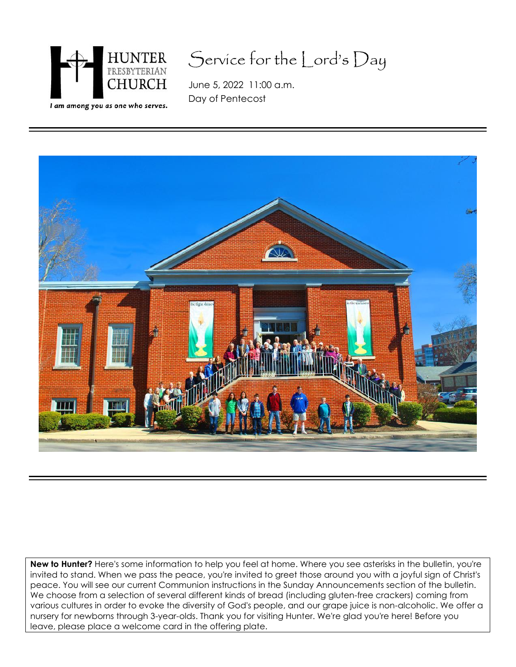

# Service for the Lord's Day

June 5, 2022 11:00 a.m. Day of Pentecost



**New to Hunter?** Here's some information to help you feel at home. Where you see asterisks in the bulletin, you're invited to stand. When we pass the peace, you're invited to greet those around you with a joyful sign of Christ's peace. You will see our current Communion instructions in the Sunday Announcements section of the bulletin. We choose from a selection of several different kinds of bread (including gluten-free crackers) coming from various cultures in order to evoke the diversity of God's people, and our grape juice is non-alcoholic. We offer a nursery for newborns through 3-year-olds. Thank you for visiting Hunter. We're glad you're here! Before you leave, please place a welcome card in the offering plate.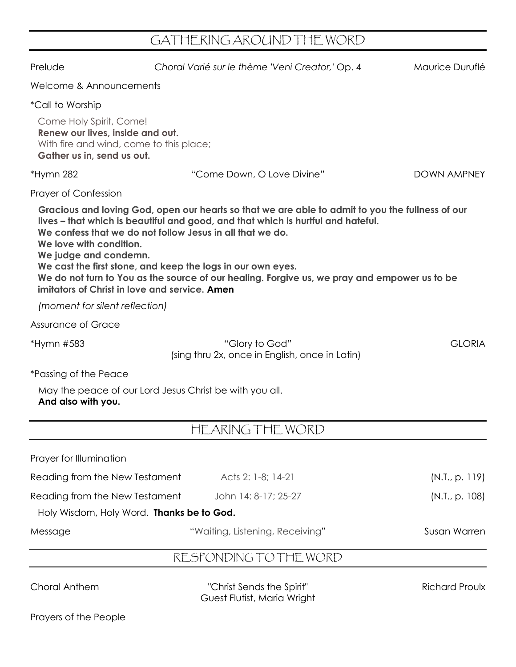# GATHERING AROUND THE WORD

| Prelude                                                                                                                                                                                                                       | Choral Varié sur le thème 'Veni Creator,' Op. 4                                                                                                                                                                                                                                      | Maurice Duruflé       |
|-------------------------------------------------------------------------------------------------------------------------------------------------------------------------------------------------------------------------------|--------------------------------------------------------------------------------------------------------------------------------------------------------------------------------------------------------------------------------------------------------------------------------------|-----------------------|
| Welcome & Announcements                                                                                                                                                                                                       |                                                                                                                                                                                                                                                                                      |                       |
| <i>*Call to Worship</i>                                                                                                                                                                                                       |                                                                                                                                                                                                                                                                                      |                       |
| Come Holy Spirit, Come!<br>Renew our lives, inside and out.<br>With fire and wind, come to this place;<br>Gather us in, send us out.                                                                                          |                                                                                                                                                                                                                                                                                      |                       |
| *Hymn 282                                                                                                                                                                                                                     | "Come Down, O Love Divine"                                                                                                                                                                                                                                                           | <b>DOWN AMPNEY</b>    |
| <b>Prayer of Confession</b>                                                                                                                                                                                                   |                                                                                                                                                                                                                                                                                      |                       |
| We confess that we do not follow Jesus in all that we do.<br>We love with condition.<br>We judge and condemn.<br>We cast the first stone, and keep the logs in our own eyes.<br>imitators of Christ in love and service. Amen | Gracious and loving God, open our hearts so that we are able to admit to you the fullness of our<br>lives – that which is beautiful and good, and that which is hurtful and hateful.<br>We do not turn to You as the source of our healing. Forgive us, we pray and empower us to be |                       |
| (moment for silent reflection)                                                                                                                                                                                                |                                                                                                                                                                                                                                                                                      |                       |
| <b>Assurance of Grace</b>                                                                                                                                                                                                     |                                                                                                                                                                                                                                                                                      |                       |
| *Hymn #583                                                                                                                                                                                                                    | "Glory to God"<br>(sing thru 2x, once in English, once in Latin)                                                                                                                                                                                                                     | <b>GLORIA</b>         |
| <i>*Passing of the Peace</i>                                                                                                                                                                                                  |                                                                                                                                                                                                                                                                                      |                       |
| May the peace of our Lord Jesus Christ be with you all.<br>And also with you.                                                                                                                                                 |                                                                                                                                                                                                                                                                                      |                       |
|                                                                                                                                                                                                                               | HEARING THE WORD                                                                                                                                                                                                                                                                     |                       |
| Prayer for Illumination                                                                                                                                                                                                       |                                                                                                                                                                                                                                                                                      |                       |
| Reading from the New Testament                                                                                                                                                                                                | Acts 2: 1-8; 14-21                                                                                                                                                                                                                                                                   | (N.T., p. 119)        |
| Reading from the New Testament                                                                                                                                                                                                | John 14: 8-17; 25-27                                                                                                                                                                                                                                                                 | (N.I., p. 108)        |
| Holy Wisdom, Holy Word. Thanks be to God.                                                                                                                                                                                     |                                                                                                                                                                                                                                                                                      |                       |
| Message                                                                                                                                                                                                                       | "Waiting, Listening, Receiving"                                                                                                                                                                                                                                                      | Susan Warren          |
|                                                                                                                                                                                                                               | RESPONDING TO THE WORD                                                                                                                                                                                                                                                               |                       |
| <b>Choral Anthem</b>                                                                                                                                                                                                          | "Christ Sends the Spirit"<br>Guest Flutist, Maria Wright                                                                                                                                                                                                                             | <b>Richard Proulx</b> |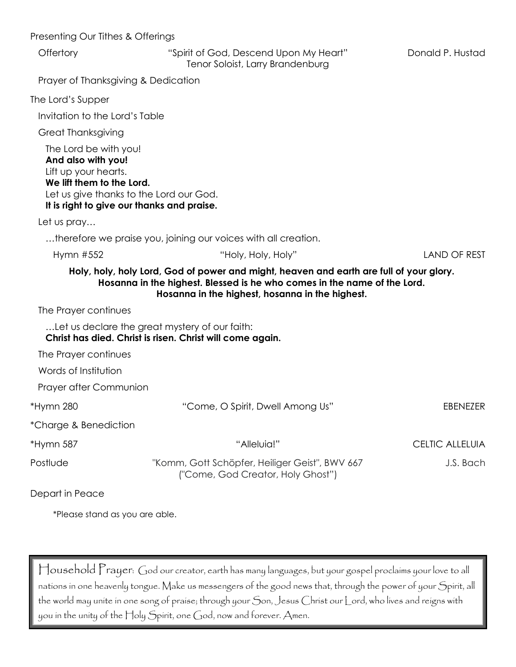## Presenting Our Tithes & Offerings Offertory "Spirit of God, Descend Upon My Heart" Donald P. Hustad Tenor Soloist, Larry Brandenburg Prayer of Thanksgiving & Dedication The Lord's Supper Invitation to the Lord's Table Great Thanksgiving The Lord be with you! **And also with you!** Lift up your hearts. **We lift them to the Lord.** Let us give thanks to the Lord our God. **It is right to give our thanks and praise.**

Let us pray…

…therefore we praise you, joining our voices with all creation.

Hymn #552 "Holy, Holy, Holy" LAND OF REST

#### **Holy, holy, holy Lord, God of power and might, heaven and earth are full of your glory. Hosanna in the highest. Blessed is he who comes in the name of the Lord. Hosanna in the highest, hosanna in the highest.**

The Prayer continues

…Let us declare the great mystery of our faith:

**Christ has died. Christ is risen. Christ will come again.**

The Prayer continues

Words of Institution

Prayer after Communion

| *Hymn 280             | "Come, O Spirit, Dwell Among Us" | <b>EBENEZER</b> |
|-----------------------|----------------------------------|-----------------|
| *Charge & Benediction |                                  |                 |

\*Hymn 587 "Alleluia!" CELTIC ALLELUIA

Postlude "Komm, Gott Schöpfer, Heiliger Geist", BWV 667 J.S. Bach ("Come, God Creator, Holy Ghost")

Depart in Peace

\*Please stand as you are able.

Household Prayer: God our creator, earth has many languages, but your gospel proclaims your love to all nations in one heavenly tongue. Make us messengers of the good news that, through the power of your Spirit, all the world may unite in one song of praise; through your Son, Jesus Christ our Lord, who lives and reigns with you in the unity of the Holy Spirit, one God, now and forever. Amen.